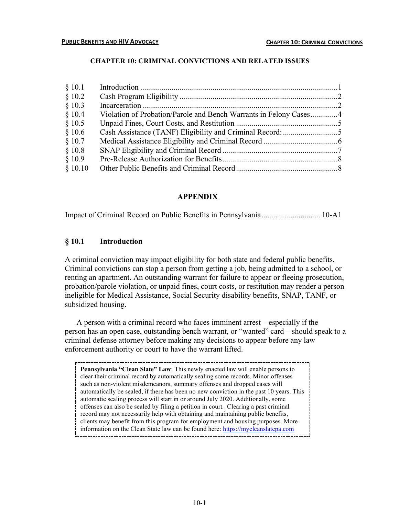## **CHAPTER 10: CRIMINAL CONVICTIONS AND RELATED ISSUES**

| Violation of Probation/Parole and Bench Warrants in Felony Cases4 |
|-------------------------------------------------------------------|

# **APPENDIX**

Impact of Criminal Record on Public Benefits in Pennsylvania.............................. 10-A1

## **§ 10.1 Introduction**

A criminal conviction may impact eligibility for both state and federal public benefits. Criminal convictions can stop a person from getting a job, being admitted to a school, or renting an apartment. An outstanding warrant for failure to appear or fleeing prosecution, probation/parole violation, or unpaid fines, court costs, or restitution may render a person ineligible for Medical Assistance, Social Security disability benefits, SNAP, TANF, or subsidized housing.

A person with a criminal record who faces imminent arrest – especially if the person has an open case, outstanding bench warrant, or "wanted" card – should speak to a criminal defense attorney before making any decisions to appear before any law enforcement authority or court to have the warrant lifted.

**Pennsylvania "Clean Slate" Law**: This newly enacted law will enable persons to clear their criminal record by automatically sealing some records. Minor offenses such as non-violent misdemeanors, summary offenses and dropped cases will automatically be sealed, if there has been no new conviction in the past 10 years. This automatic sealing process will start in or around July 2020. Additionally, some offenses can also be sealed by filing a petition in court. Clearing a past criminal record may not necessarily help with obtaining and maintaining public benefits, clients may benefit from this program for employment and housing purposes. More information on the Clean State law can be found here: https://mycleanslatepa.com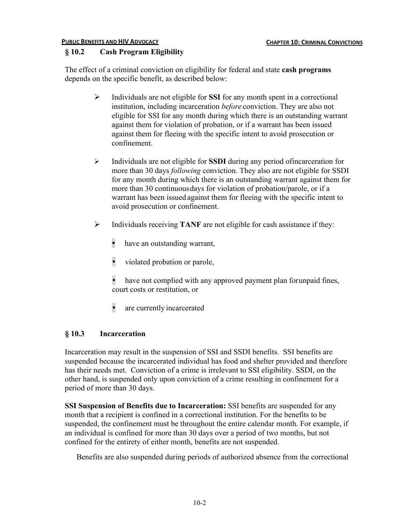## **PUBLIC BENEFITS AND HIV ADVOCACY CHAPTER 10: CRIMINAL CONVICTIONS**

# **§ 10.2 Cash Program Eligibility**

The effect of a criminal conviction on eligibility for federal and state **cash programs** depends on the specific benefit, as described below:

- Ø Individuals are not eligible for **SSI** for any month spent in a correctional institution, including incarceration *before* conviction. They are also not eligible for SSI for any month during which there is an outstanding warrant against them for violation of probation, or if a warrant has been issued against them for fleeing with the specific intent to avoid prosecution or confinement.
- Ø Individuals are not eligible for **SSDI** during any period ofincarceration for more than 30 days *following* conviction. They also are not eligible for SSDI for any month during which there is an outstanding warrant against them for more than 30 continuousdays for violation of probation/parole, or if a warrant has been issued against them for fleeing with the specific intent to avoid prosecution or confinement.
- Ø Individuals receiving **TANF** are not eligible for cash assistance if they:
	- have an outstanding warrant,
	- violated probation or parole,
	- have not complied with any approved payment plan for unpaid fines, court costs or restitution, or
	- are currently incarcerated

# **§ 10.3 Incarceration**

Incarceration may result in the suspension of SSI and SSDI benefits. SSI benefits are suspended because the incarcerated individual has food and shelter provided and therefore has their needs met. Conviction of a crime is irrelevant to SSI eligibility. SSDI, on the other hand, is suspended only upon conviction of a crime resulting in confinement for a period of more than 30 days.

**SSI Suspension of Benefits due to Incarceration:** SSI benefits are suspended for any month that a recipient is confined in a correctional institution. For the benefits to be suspended, the confinement must be throughout the entire calendar month. For example, if an individual is confined for more than 30 days over a period of two months, but not confined for the entirety of either month, benefits are not suspended.

Benefits are also suspended during periods of authorized absence from the correctional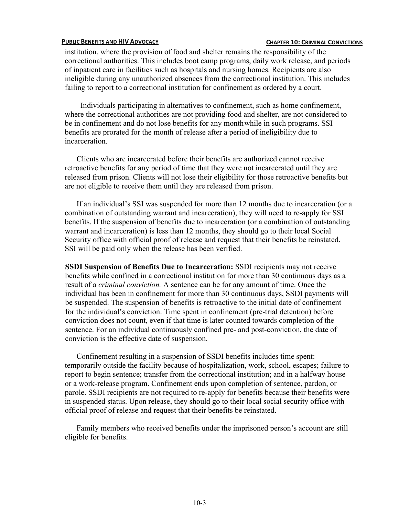### **PUBLIC BENEFITS AND HIV ADVOCACY CHAPTER 10: CHAPTER 10: CRIMINAL CONVICTIONS**

institution, where the provision of food and shelter remains the responsibility of the correctional authorities. This includes boot camp programs, daily work release, and periods of inpatient care in facilities such as hospitals and nursing homes. Recipients are also ineligible during any unauthorized absences from the correctional institution. This includes failing to report to a correctional institution for confinement as ordered by a court.

 Individuals participating in alternatives to confinement, such as home confinement, where the correctional authorities are not providing food and shelter, are not considered to be in confinement and do not lose benefits for any monthwhile in such programs. SSI benefits are prorated for the month of release after a period of ineligibility due to incarceration.

Clients who are incarcerated before their benefits are authorized cannot receive retroactive benefits for any period of time that they were not incarcerated until they are released from prison. Clients will not lose their eligibility for those retroactive benefits but are not eligible to receive them until they are released from prison.

If an individual's SSI was suspended for more than 12 months due to incarceration (or a combination of outstanding warrant and incarceration), they will need to re-apply for SSI benefits. If the suspension of benefits due to incarceration (or a combination of outstanding warrant and incarceration) is less than 12 months, they should go to their local Social Security office with official proof of release and request that their benefits be reinstated. SSI will be paid only when the release has been verified.

**SSDI Suspension of Benefits Due to Incarceration:** SSDI recipients may not receive benefits while confined in a correctional institution for more than 30 continuous days as a result of a *criminal conviction.* A sentence can be for any amount of time. Once the individual has been in confinement for more than 30 continuous days, SSDI payments will be suspended. The suspension of benefits is retroactive to the initial date of confinement for the individual's conviction. Time spent in confinement (pre-trial detention) before conviction does not count, even if that time is later counted towards completion of the sentence. For an individual continuously confined pre- and post-conviction, the date of conviction is the effective date of suspension.

Confinement resulting in a suspension of SSDI benefits includes time spent: temporarily outside the facility because of hospitalization, work, school, escapes; failure to report to begin sentence; transfer from the correctional institution; and in a halfway house or a work-release program. Confinement ends upon completion of sentence, pardon, or parole. SSDI recipients are not required to re-apply for benefits because their benefits were in suspended status. Upon release, they should go to their local social security office with official proof of release and request that their benefits be reinstated.

Family members who received benefits under the imprisoned person's account are still eligible for benefits.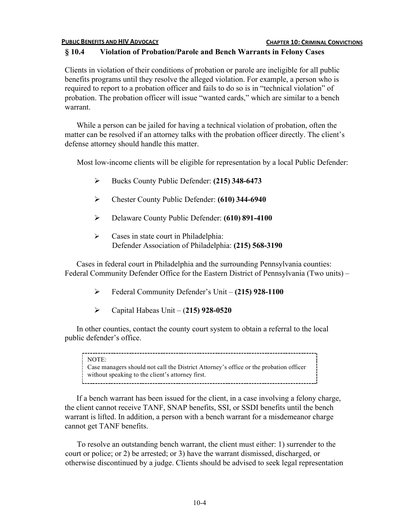## **PUBLIC BENEFITS AND HIV ADVOCACY CHAPTER 10: CRIMINAL CONVICTIONS**

# **§ 10.4 Violation of Probation/Parole and Bench Warrants in Felony Cases**

Clients in violation of their conditions of probation or parole are ineligible for all public benefits programs until they resolve the alleged violation. For example, a person who is required to report to a probation officer and fails to do so is in "technical violation" of probation. The probation officer will issue "wanted cards," which are similar to a bench warrant.

While a person can be jailed for having a technical violation of probation, often the matter can be resolved if an attorney talks with the probation officer directly. The client's defense attorney should handle this matter.

Most low-income clients will be eligible for representation by a local Public Defender:

- Ø Bucks County Public Defender: **(215) 348-6473**
- Ø Chester County Public Defender: **(610) 344-6940**
- Ø Delaware County Public Defender: **(610) 891-4100**
- $\triangleright$  Cases in state court in Philadelphia: Defender Association of Philadelphia: **(215) 568-3190**

Cases in federal court in Philadelphia and the surrounding Pennsylvania counties: Federal Community Defender Office for the Eastern District of Pennsylvania (Two units) –

- Ø Federal Community Defender's Unit **(215) 928-1100**
- Ø Capital Habeas Unit (**215) 928-0520**

In other counties, contact the county court system to obtain a referral to the local public defender's office.

### NOTE:

Case managers should not call the District Attorney's office or the probation officer without speaking to the client's attorney first.

If a bench warrant has been issued for the client, in a case involving a felony charge, the client cannot receive TANF, SNAP benefits, SSI, or SSDI benefits until the bench warrant is lifted. In addition, a person with a bench warrant for a misdemeanor charge cannot get TANF benefits.

To resolve an outstanding bench warrant, the client must either: 1) surrender to the court or police; or 2) be arrested; or 3) have the warrant dismissed, discharged, or otherwise discontinued by a judge. Clients should be advised to seek legal representation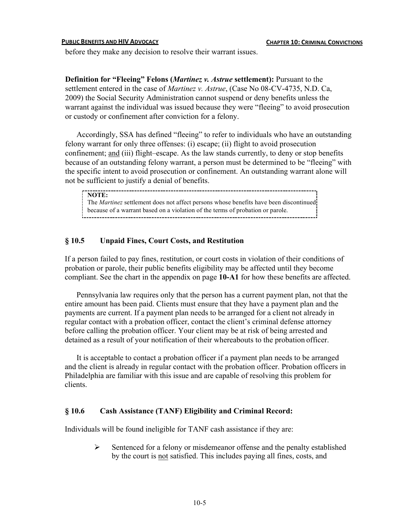### **PUBLIC BENEFITS AND HIV ADVOCACY CHAPTER 10: CRIMINAL CONVICTIONS**

before they make any decision to resolve their warrant issues.

**Definition for "Fleeing" Felons (***Martinez v. Astrue* **settlement):** Pursuant to the settlement entered in the case of *Martinez v. Astrue*, (Case No 08-CV-4735, N.D. Ca, 2009) the Social Security Administration cannot suspend or deny benefits unless the warrant against the individual was issued because they were "fleeing" to avoid prosecution or custody or confinement after conviction for a felony.

Accordingly, SSA has defined "fleeing" to refer to individuals who have an outstanding felony warrant for only three offenses: (i) escape; (ii) flight to avoid prosecution confinement; and (iii) flight–escape. As the law stands currently, to deny or stop benefits because of an outstanding felony warrant, a person must be determined to be "fleeing" with the specific intent to avoid prosecution or confinement. An outstanding warrant alone will not be sufficient to justify a denial of benefits.

**NOTE:**  The *Martinez* settlement does not affect persons whose benefits have been discontinued because of a warrant based on a violation of the terms of probation or parole.

## **§ 10.5 Unpaid Fines, Court Costs, and Restitution**

If a person failed to pay fines, restitution, or court costs in violation of their conditions of probation or parole, their public benefits eligibility may be affected until they become compliant. See the chart in the appendix on page **10-A1** for how these benefits are affected.

Pennsylvania law requires only that the person has a current payment plan, not that the entire amount has been paid. Clients must ensure that they have a payment plan and the payments are current. If a payment plan needs to be arranged for a client not already in regular contact with a probation officer, contact the client's criminal defense attorney before calling the probation officer. Your client may be at risk of being arrested and detained as a result of your notification of their whereabouts to the probation officer.

It is acceptable to contact a probation officer if a payment plan needs to be arranged and the client is already in regular contact with the probation officer. Probation officers in Philadelphia are familiar with this issue and are capable of resolving this problem for clients.

## **§ 10.6 Cash Assistance (TANF) Eligibility and Criminal Record:**

Individuals will be found ineligible for TANF cash assistance if they are:

 $\triangleright$  Sentenced for a felony or misdemeanor offense and the penalty established by the court is not satisfied. This includes paying all fines, costs, and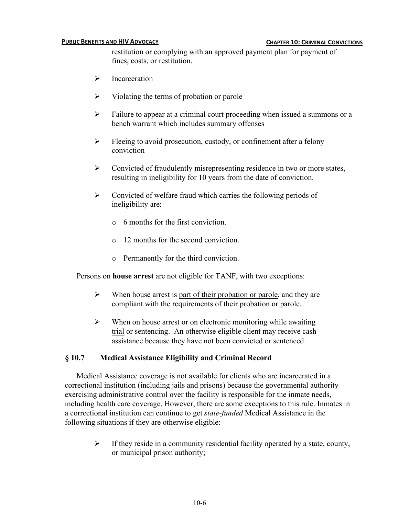### **PUBLIC BENEFITS AND HIV ADVOCACY CHAPTER 10: CHAPTER 10: CRIMINAL CONVICTIONS**

restitution or complying with an approved payment plan for payment of fines, costs, or restitution.

- $\triangleright$  Incarceration
- $\triangleright$  Violating the terms of probation or parole
- $\triangleright$  Failure to appear at a criminal court proceeding when issued a summons or a bench warrant which includes summary offenses
- $\triangleright$  Fleeing to avoid prosecution, custody, or confinement after a felony conviction
- $\triangleright$  Convicted of fraudulently misrepresenting residence in two or more states, resulting in ineligibility for 10 years from the date of conviction.
- $\triangleright$  Convicted of welfare fraud which carries the following periods of ineligibility are:
	- $\circ$  6 months for the first conviction.
	- o 12 months for the second conviction.
	- o Permanently for the third conviction.

Persons on **house arrest** are not eligible for TANF, with two exceptions:

- $\triangleright$  When house arrest is part of their probation or parole, and they are compliant with the requirements of their probation or parole.
- $\triangleright$  When on house arrest or on electronic monitoring while awaiting trial or sentencing. An otherwise eligible client may receive cash assistance because they have not been convicted or sentenced.

## **§ 10.7 Medical Assistance Eligibility and Criminal Record**

Medical Assistance coverage is not available for clients who are incarcerated in a correctional institution (including jails and prisons) because the governmental authority exercising administrative control over the facility is responsible for the inmate needs, including health care coverage. However, there are some exceptions to this rule. Inmates in a correctional institution can continue to get *state-funded* Medical Assistance in the following situations if they are otherwise eligible:

 $\triangleright$  If they reside in a community residential facility operated by a state, county, or municipal prison authority;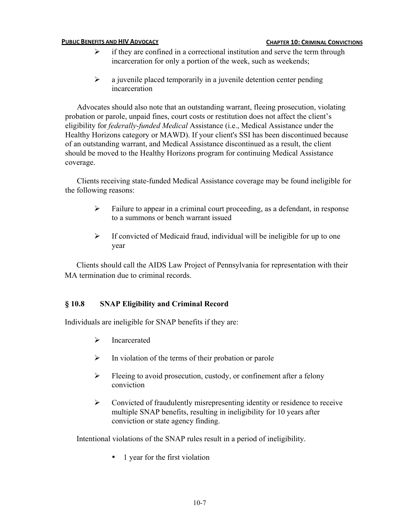## **PUBLIC BENEFITS AND HIV ADVOCACY CHAPTER 10: CHAPTER 10: CRIMINAL CONVICTIONS**

- $\triangleright$  if they are confined in a correctional institution and serve the term through incarceration for only a portion of the week, such as weekends;
- $\triangleright$  a juvenile placed temporarily in a juvenile detention center pending incarceration

Advocates should also note that an outstanding warrant, fleeing prosecution, violating probation or parole, unpaid fines, court costs or restitution does not affect the client's eligibility for *federally-funded Medical* Assistance (i.e., Medical Assistance under the Healthy Horizons category or MAWD). If your client's SSI has been discontinued because of an outstanding warrant, and Medical Assistance discontinued as a result, the client should be moved to the Healthy Horizons program for continuing Medical Assistance coverage.

Clients receiving state-funded Medical Assistance coverage may be found ineligible for the following reasons:

- $\triangleright$  Failure to appear in a criminal court proceeding, as a defendant, in response to a summons or bench warrant issued
- $\triangleright$  If convicted of Medicaid fraud, individual will be ineligible for up to one year

Clients should call the AIDS Law Project of Pennsylvania for representation with their MA termination due to criminal records.

# **§ 10.8 SNAP Eligibility and Criminal Record**

Individuals are ineligible for SNAP benefits if they are:

- $\triangleright$  Incarcerated
- $\triangleright$  In violation of the terms of their probation or parole
- $\triangleright$  Fleeing to avoid prosecution, custody, or confinement after a felony conviction
- $\triangleright$  Convicted of fraudulently misrepresenting identity or residence to receive multiple SNAP benefits, resulting in ineligibility for 10 years after conviction or state agency finding.

Intentional violations of the SNAP rules result in a period of ineligibility.

• 1 year for the first violation